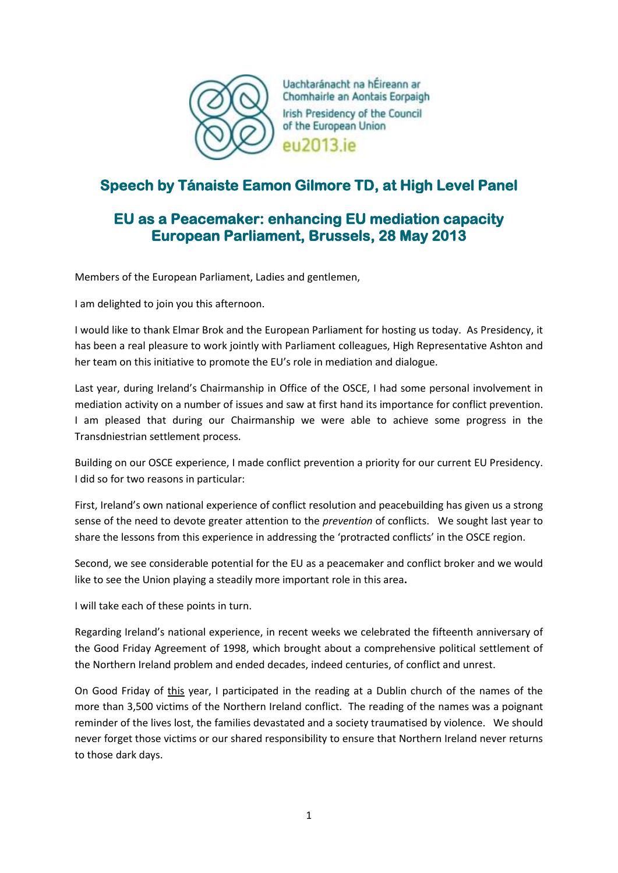

Uachtaránacht na hÉireann ar Chomhairle an Aontais Eorpaigh Irish Presidency of the Council of the European Union eu2013.ie

## **Speech by Tánaiste Eamon Gilmore TD, at High Level Panel**

## **EU as a Peacemaker: enhancing EU mediation capacity European Parliament, Brussels, 28 May 2013**

Members of the European Parliament, Ladies and gentlemen,

I am delighted to join you this afternoon.

I would like to thank Elmar Brok and the European Parliament for hosting us today. As Presidency, it has been a real pleasure to work jointly with Parliament colleagues, High Representative Ashton and her team on this initiative to promote the EU's role in mediation and dialogue.

Last year, during Ireland's Chairmanship in Office of the OSCE, I had some personal involvement in mediation activity on a number of issues and saw at first hand its importance for conflict prevention. I am pleased that during our Chairmanship we were able to achieve some progress in the Transdniestrian settlement process.

Building on our OSCE experience, I made conflict prevention a priority for our current EU Presidency. I did so for two reasons in particular:

First, Ireland's own national experience of conflict resolution and peacebuilding has given us a strong sense of the need to devote greater attention to the *prevention* of conflicts. We sought last year to share the lessons from this experience in addressing the 'protracted conflicts' in the OSCE region.

Second, we see considerable potential for the EU as a peacemaker and conflict broker and we would like to see the Union playing a steadily more important role in this area**.**

I will take each of these points in turn.

Regarding Ireland's national experience, in recent weeks we celebrated the fifteenth anniversary of the Good Friday Agreement of 1998, which brought about a comprehensive political settlement of the Northern Ireland problem and ended decades, indeed centuries, of conflict and unrest.

On Good Friday of this year, I participated in the reading at a Dublin church of the names of the more than 3,500 victims of the Northern Ireland conflict. The reading of the names was a poignant reminder of the lives lost, the families devastated and a society traumatised by violence. We should never forget those victims or our shared responsibility to ensure that Northern Ireland never returns to those dark days.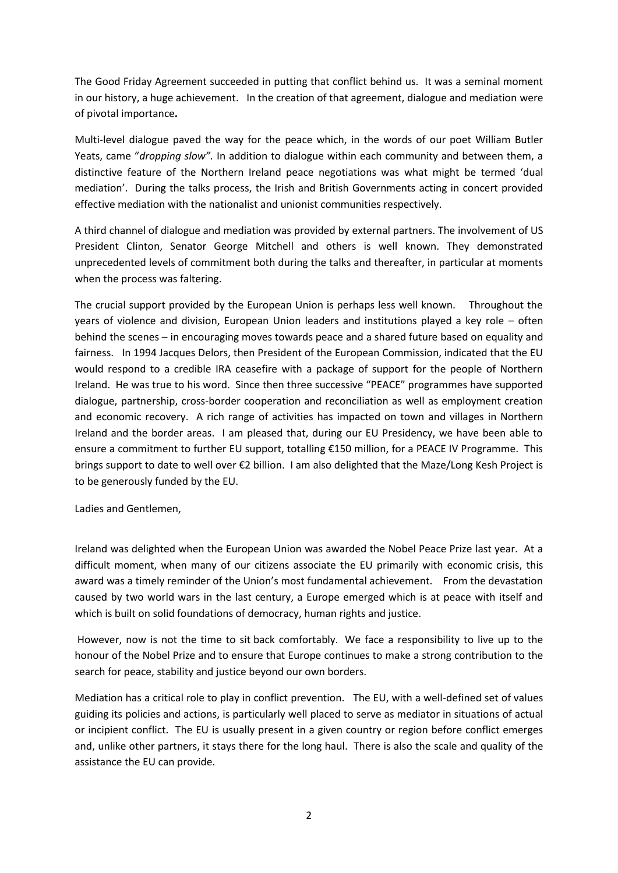The Good Friday Agreement succeeded in putting that conflict behind us. It was a seminal moment in our history, a huge achievement. In the creation of that agreement, dialogue and mediation were of pivotal importance**.**

Multi-level dialogue paved the way for the peace which, in the words of our poet William Butler Yeats, came "*dropping slow".* In addition to dialogue within each community and between them, a distinctive feature of the Northern Ireland peace negotiations was what might be termed 'dual mediation'. During the talks process, the Irish and British Governments acting in concert provided effective mediation with the nationalist and unionist communities respectively.

A third channel of dialogue and mediation was provided by external partners. The involvement of US President Clinton, Senator George Mitchell and others is well known. They demonstrated unprecedented levels of commitment both during the talks and thereafter, in particular at moments when the process was faltering.

The crucial support provided by the European Union is perhaps less well known. Throughout the years of violence and division, European Union leaders and institutions played a key role – often behind the scenes – in encouraging moves towards peace and a shared future based on equality and fairness. In 1994 Jacques Delors, then President of the European Commission, indicated that the EU would respond to a credible IRA ceasefire with a package of support for the people of Northern Ireland. He was true to his word. Since then three successive "PEACE" programmes have supported dialogue, partnership, cross-border cooperation and reconciliation as well as employment creation and economic recovery. A rich range of activities has impacted on town and villages in Northern Ireland and the border areas. I am pleased that, during our EU Presidency, we have been able to ensure a commitment to further EU support, totalling €150 million, for a PEACE IV Programme. This brings support to date to well over €2 billion. I am also delighted that the Maze/Long Kesh Project is to be generously funded by the EU.

Ladies and Gentlemen,

Ireland was delighted when the European Union was awarded the Nobel Peace Prize last year. At a difficult moment, when many of our citizens associate the EU primarily with economic crisis, this award was a timely reminder of the Union's most fundamental achievement. From the devastation caused by two world wars in the last century, a Europe emerged which is at peace with itself and which is built on solid foundations of democracy, human rights and justice.

However, now is not the time to sit back comfortably. We face a responsibility to live up to the honour of the Nobel Prize and to ensure that Europe continues to make a strong contribution to the search for peace, stability and justice beyond our own borders.

Mediation has a critical role to play in conflict prevention. The EU, with a well-defined set of values guiding its policies and actions, is particularly well placed to serve as mediator in situations of actual or incipient conflict. The EU is usually present in a given country or region before conflict emerges and, unlike other partners, it stays there for the long haul. There is also the scale and quality of the assistance the EU can provide.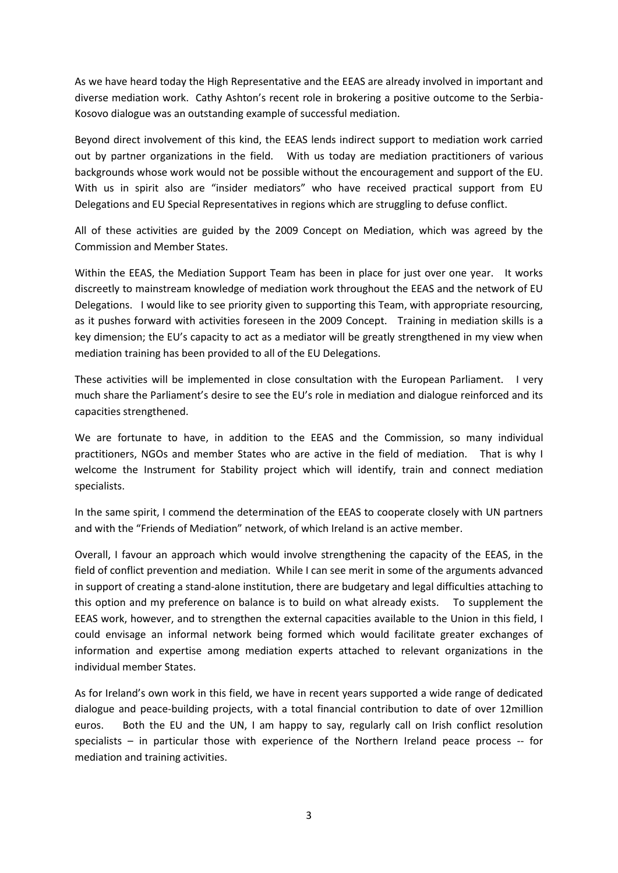As we have heard today the High Representative and the EEAS are already involved in important and diverse mediation work. Cathy Ashton's recent role in brokering a positive outcome to the Serbia-Kosovo dialogue was an outstanding example of successful mediation.

Beyond direct involvement of this kind, the EEAS lends indirect support to mediation work carried out by partner organizations in the field. With us today are mediation practitioners of various backgrounds whose work would not be possible without the encouragement and support of the EU. With us in spirit also are "insider mediators" who have received practical support from EU Delegations and EU Special Representatives in regions which are struggling to defuse conflict.

All of these activities are guided by the 2009 Concept on Mediation, which was agreed by the Commission and Member States.

Within the EEAS, the Mediation Support Team has been in place for just over one year. It works discreetly to mainstream knowledge of mediation work throughout the EEAS and the network of EU Delegations. I would like to see priority given to supporting this Team, with appropriate resourcing, as it pushes forward with activities foreseen in the 2009 Concept. Training in mediation skills is a key dimension; the EU's capacity to act as a mediator will be greatly strengthened in my view when mediation training has been provided to all of the EU Delegations.

These activities will be implemented in close consultation with the European Parliament. I very much share the Parliament's desire to see the EU's role in mediation and dialogue reinforced and its capacities strengthened.

We are fortunate to have, in addition to the EEAS and the Commission, so many individual practitioners, NGOs and member States who are active in the field of mediation. That is why I welcome the Instrument for Stability project which will identify, train and connect mediation specialists.

In the same spirit, I commend the determination of the EEAS to cooperate closely with UN partners and with the "Friends of Mediation" network, of which Ireland is an active member.

Overall, I favour an approach which would involve strengthening the capacity of the EEAS, in the field of conflict prevention and mediation. While I can see merit in some of the arguments advanced in support of creating a stand-alone institution, there are budgetary and legal difficulties attaching to this option and my preference on balance is to build on what already exists. To supplement the EEAS work, however, and to strengthen the external capacities available to the Union in this field, I could envisage an informal network being formed which would facilitate greater exchanges of information and expertise among mediation experts attached to relevant organizations in the individual member States.

As for Ireland's own work in this field, we have in recent years supported a wide range of dedicated dialogue and peace-building projects, with a total financial contribution to date of over 12million euros. Both the EU and the UN, I am happy to say, regularly call on Irish conflict resolution specialists – in particular those with experience of the Northern Ireland peace process -- for mediation and training activities.